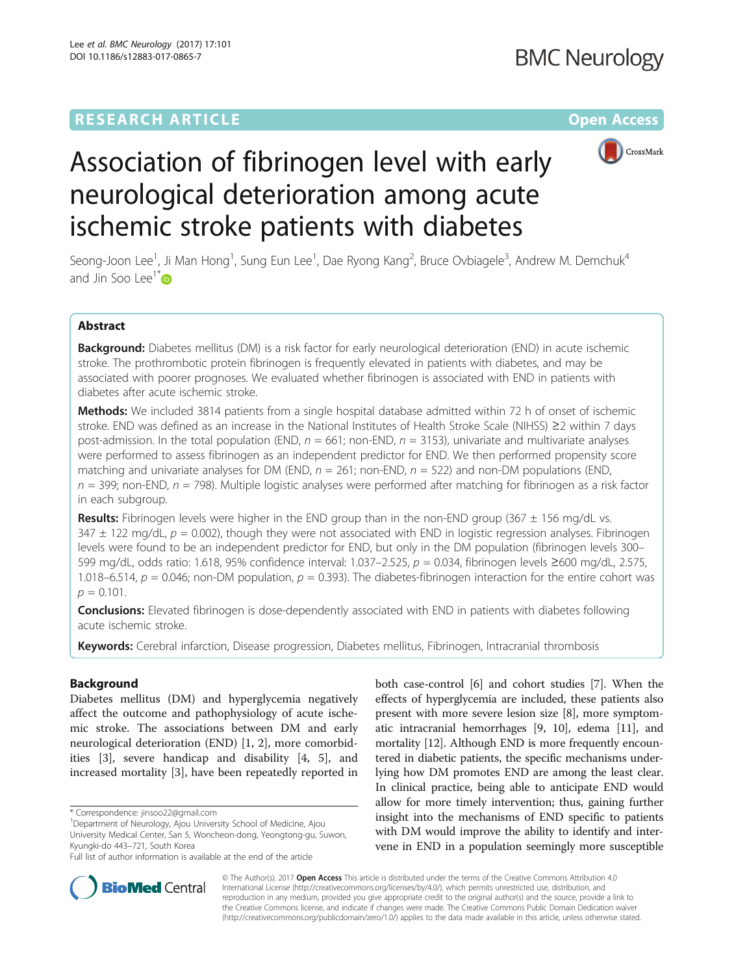## **RESEARCH ARTICLE External Structure Community Community Community Community Community Community Community Community**



# Association of fibrinogen level with early neurological deterioration among acute ischemic stroke patients with diabetes

Seong-Joon Lee<sup>1</sup>, Ji Man Hong<sup>1</sup>, Sung Eun Lee<sup>1</sup>, Dae Ryong Kang<sup>2</sup>, Bruce Ovbiagele<sup>3</sup>, Andrew M. Demchuk<sup>4</sup> and Jin Soo Lee<sup>1\*</sup> $\bullet$ 

## Abstract

Background: Diabetes mellitus (DM) is a risk factor for early neurological deterioration (END) in acute ischemic stroke. The prothrombotic protein fibrinogen is frequently elevated in patients with diabetes, and may be associated with poorer prognoses. We evaluated whether fibrinogen is associated with END in patients with diabetes after acute ischemic stroke.

**Methods:** We included 3814 patients from a single hospital database admitted within 72 h of onset of ischemic stroke. END was defined as an increase in the National Institutes of Health Stroke Scale (NIHSS) ≥2 within 7 days post-admission. In the total population (END,  $n = 661$ ; non-END,  $n = 3153$ ), univariate and multivariate analyses were performed to assess fibrinogen as an independent predictor for END. We then performed propensity score matching and univariate analyses for DM (END,  $n = 261$ ; non-END,  $n = 522$ ) and non-DM populations (END,  $n = 399$ ; non-END,  $n = 798$ ). Multiple logistic analyses were performed after matching for fibrinogen as a risk factor in each subgroup.

**Results:** Fibrinogen levels were higher in the END group than in the non-END group (367  $\pm$  156 mg/dL vs.  $347 \pm 122$  mg/dL,  $p = 0.002$ ), though they were not associated with END in logistic regression analyses. Fibrinogen levels were found to be an independent predictor for END, but only in the DM population (fibrinogen levels 300– 599 mg/dL, odds ratio: 1.618, 95% confidence interval: 1.037–2.525, p = 0.034, fibrinogen levels ≥600 mg/dL, 2.575, 1.018–6.514,  $p = 0.046$ ; non-DM population,  $p = 0.393$ ). The diabetes-fibrinogen interaction for the entire cohort was  $p = 0.101$ .

**Conclusions:** Elevated fibrinogen is dose-dependently associated with END in patients with diabetes following acute ischemic stroke.

Keywords: Cerebral infarction, Disease progression, Diabetes mellitus, Fibrinogen, Intracranial thrombosis

## Background

Diabetes mellitus (DM) and hyperglycemia negatively affect the outcome and pathophysiology of acute ischemic stroke. The associations between DM and early neurological deterioration (END) [\[1](#page-5-0), [2](#page-5-0)], more comorbidities [\[3](#page-5-0)], severe handicap and disability [\[4](#page-5-0), [5](#page-5-0)], and increased mortality [[3\]](#page-5-0), have been repeatedly reported in

<sup>1</sup>Department of Neurology, Ajou University School of Medicine, Ajou University Medical Center, San 5, Woncheon-dong, Yeongtong-gu, Suwon, Kyungki-do 443–721, South Korea

both case-control [\[6](#page-6-0)] and cohort studies [\[7](#page-6-0)]. When the effects of hyperglycemia are included, these patients also present with more severe lesion size [[8](#page-6-0)], more symptomatic intracranial hemorrhages [\[9, 10](#page-6-0)], edema [\[11](#page-6-0)], and mortality [\[12\]](#page-6-0). Although END is more frequently encountered in diabetic patients, the specific mechanisms underlying how DM promotes END are among the least clear. In clinical practice, being able to anticipate END would allow for more timely intervention; thus, gaining further insight into the mechanisms of END specific to patients with DM would improve the ability to identify and intervene in END in a population seemingly more susceptible



© The Author(s). 2017 **Open Access** This article is distributed under the terms of the Creative Commons Attribution 4.0 International License [\(http://creativecommons.org/licenses/by/4.0/](http://creativecommons.org/licenses/by/4.0/)), which permits unrestricted use, distribution, and reproduction in any medium, provided you give appropriate credit to the original author(s) and the source, provide a link to the Creative Commons license, and indicate if changes were made. The Creative Commons Public Domain Dedication waiver [\(http://creativecommons.org/publicdomain/zero/1.0/](http://creativecommons.org/publicdomain/zero/1.0/)) applies to the data made available in this article, unless otherwise stated.

<sup>\*</sup> Correspondence: [jinsoo22@gmail.com](mailto:jinsoo22@gmail.com) <sup>1</sup>

Full list of author information is available at the end of the article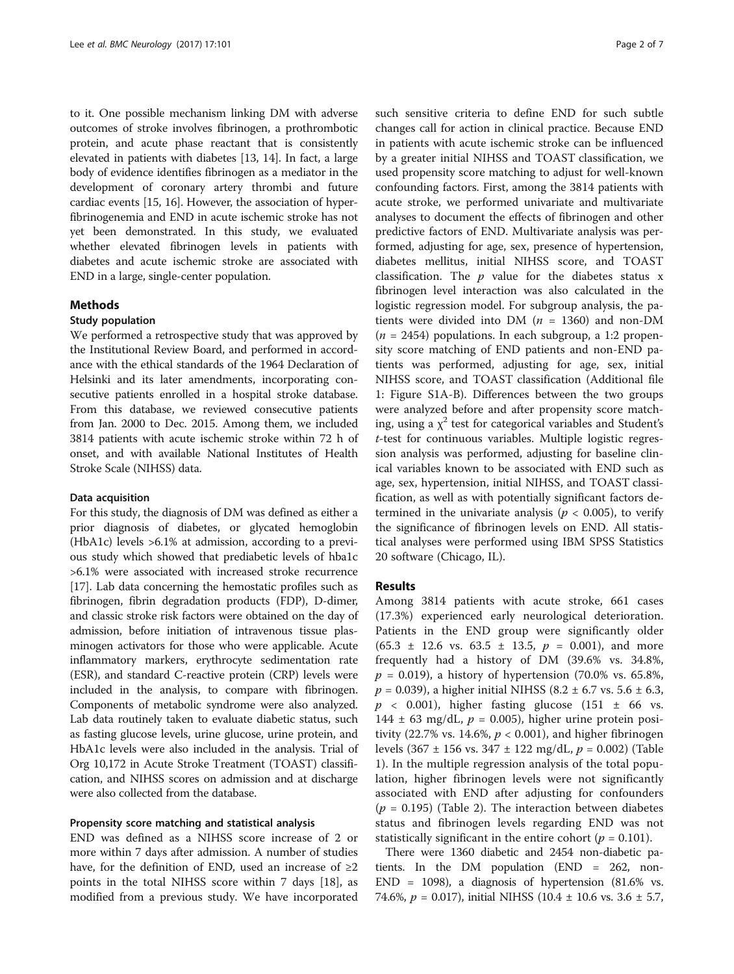to it. One possible mechanism linking DM with adverse outcomes of stroke involves fibrinogen, a prothrombotic protein, and acute phase reactant that is consistently elevated in patients with diabetes [\[13, 14](#page-6-0)]. In fact, a large body of evidence identifies fibrinogen as a mediator in the development of coronary artery thrombi and future cardiac events [\[15, 16](#page-6-0)]. However, the association of hyperfibrinogenemia and END in acute ischemic stroke has not yet been demonstrated. In this study, we evaluated whether elevated fibrinogen levels in patients with diabetes and acute ischemic stroke are associated with END in a large, single-center population.

## Methods

#### Study population

We performed a retrospective study that was approved by the Institutional Review Board, and performed in accordance with the ethical standards of the 1964 Declaration of Helsinki and its later amendments, incorporating consecutive patients enrolled in a hospital stroke database. From this database, we reviewed consecutive patients from Jan. 2000 to Dec. 2015. Among them, we included 3814 patients with acute ischemic stroke within 72 h of onset, and with available National Institutes of Health Stroke Scale (NIHSS) data.

#### Data acquisition

For this study, the diagnosis of DM was defined as either a prior diagnosis of diabetes, or glycated hemoglobin (HbA1c) levels >6.1% at admission, according to a previous study which showed that prediabetic levels of hba1c >6.1% were associated with increased stroke recurrence [[17](#page-6-0)]. Lab data concerning the hemostatic profiles such as fibrinogen, fibrin degradation products (FDP), D-dimer, and classic stroke risk factors were obtained on the day of admission, before initiation of intravenous tissue plasminogen activators for those who were applicable. Acute inflammatory markers, erythrocyte sedimentation rate (ESR), and standard C-reactive protein (CRP) levels were included in the analysis, to compare with fibrinogen. Components of metabolic syndrome were also analyzed. Lab data routinely taken to evaluate diabetic status, such as fasting glucose levels, urine glucose, urine protein, and HbA1c levels were also included in the analysis. Trial of Org 10,172 in Acute Stroke Treatment (TOAST) classification, and NIHSS scores on admission and at discharge were also collected from the database.

### Propensity score matching and statistical analysis

END was defined as a NIHSS score increase of 2 or more within 7 days after admission. A number of studies have, for the definition of END, used an increase of  $\geq 2$ points in the total NIHSS score within 7 days [[18\]](#page-6-0), as modified from a previous study. We have incorporated such sensitive criteria to define END for such subtle changes call for action in clinical practice. Because END in patients with acute ischemic stroke can be influenced by a greater initial NIHSS and TOAST classification, we used propensity score matching to adjust for well-known confounding factors. First, among the 3814 patients with acute stroke, we performed univariate and multivariate analyses to document the effects of fibrinogen and other predictive factors of END. Multivariate analysis was performed, adjusting for age, sex, presence of hypertension, diabetes mellitus, initial NIHSS score, and TOAST classification. The  $p$  value for the diabetes status  $x$ fibrinogen level interaction was also calculated in the logistic regression model. For subgroup analysis, the patients were divided into DM ( $n = 1360$ ) and non-DM  $(n = 2454)$  populations. In each subgroup, a 1:2 propensity score matching of END patients and non-END patients was performed, adjusting for age, sex, initial NIHSS score, and TOAST classification (Additional file [1:](#page-5-0) Figure S1A-B). Differences between the two groups were analyzed before and after propensity score matching, using a  $\chi^2$  test for categorical variables and Student's t-test for continuous variables. Multiple logistic regression analysis was performed, adjusting for baseline clinical variables known to be associated with END such as age, sex, hypertension, initial NIHSS, and TOAST classification, as well as with potentially significant factors determined in the univariate analysis ( $p < 0.005$ ), to verify the significance of fibrinogen levels on END. All statistical analyses were performed using IBM SPSS Statistics 20 software (Chicago, IL).

#### Results

Among 3814 patients with acute stroke, 661 cases (17.3%) experienced early neurological deterioration. Patients in the END group were significantly older  $(65.3 \pm 12.6 \text{ vs. } 63.5 \pm 13.5, p = 0.001)$ , and more frequently had a history of DM (39.6% vs. 34.8%,  $p = 0.019$ , a history of hypertension (70.0% vs. 65.8%,  $p = 0.039$ ), a higher initial NIHSS (8.2 ± 6.7 vs. 5.6 ± 6.3,  $p \sim 0.001$ ), higher fasting glucose (151  $\pm$  66 vs. 144  $\pm$  63 mg/dL,  $p = 0.005$ ), higher urine protein positivity (22.7% vs. 14.6%,  $p < 0.001$ ), and higher fibrinogen levels (367  $\pm$  156 vs. 347  $\pm$  122 mg/dL,  $p = 0.002$ ) (Table [1\)](#page-2-0). In the multiple regression analysis of the total population, higher fibrinogen levels were not significantly associated with END after adjusting for confounders  $(p = 0.195)$  (Table [2](#page-3-0)). The interaction between diabetes status and fibrinogen levels regarding END was not statistically significant in the entire cohort ( $p = 0.101$ ).

There were 1360 diabetic and 2454 non-diabetic patients. In the DM population (END = 262, non-END = 1098), a diagnosis of hypertension (81.6% vs. 74.6%,  $p = 0.017$ ), initial NIHSS (10.4  $\pm$  10.6 vs. 3.6  $\pm$  5.7,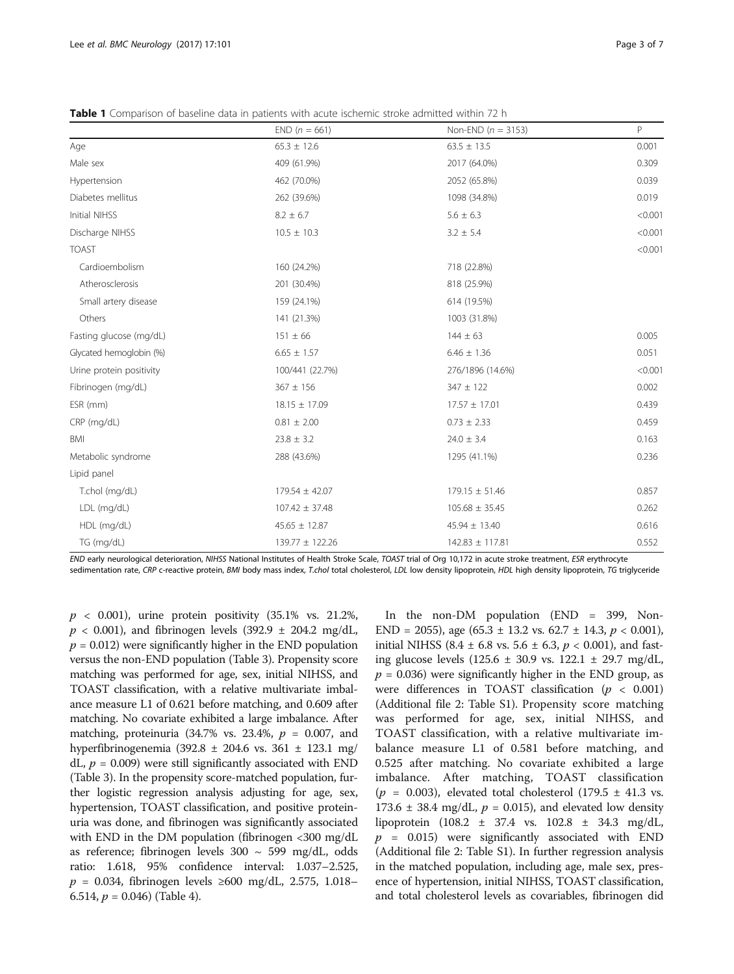|                          | $END (n = 661)$    | Non-END $(n = 3153)$ | P       |
|--------------------------|--------------------|----------------------|---------|
| Age                      | $65.3 \pm 12.6$    | $63.5 \pm 13.5$      | 0.001   |
| Male sex                 | 409 (61.9%)        | 2017 (64.0%)         | 0.309   |
| Hypertension             | 462 (70.0%)        | 2052 (65.8%)         | 0.039   |
| Diabetes mellitus        | 262 (39.6%)        | 1098 (34.8%)         | 0.019   |
| Initial NIHSS            | $8.2 \pm 6.7$      | $5.6 \pm 6.3$        | < 0.001 |
| Discharge NIHSS          | $10.5 \pm 10.3$    | $3.2 \pm 5.4$        | < 0.001 |
| <b>TOAST</b>             |                    |                      | < 0.001 |
| Cardioembolism           | 160 (24.2%)        | 718 (22.8%)          |         |
| Atherosclerosis          | 201 (30.4%)        | 818 (25.9%)          |         |
| Small artery disease     | 159 (24.1%)        | 614 (19.5%)          |         |
| Others                   | 141 (21.3%)        | 1003 (31.8%)         |         |
| Fasting glucose (mg/dL)  | $151 \pm 66$       | $144 \pm 63$         | 0.005   |
| Glycated hemoglobin (%)  | $6.65 \pm 1.57$    | $6.46 \pm 1.36$      | 0.051   |
| Urine protein positivity | 100/441 (22.7%)    | 276/1896 (14.6%)     | < 0.001 |
| Fibrinogen (mg/dL)       | $367 \pm 156$      | $347 \pm 122$        | 0.002   |
| ESR (mm)                 | $18.15 \pm 17.09$  | $17.57 \pm 17.01$    | 0.439   |
| CRP (mg/dL)              | $0.81 \pm 2.00$    | $0.73 \pm 2.33$      | 0.459   |
| <b>BMI</b>               | $23.8 \pm 3.2$     | $24.0 \pm 3.4$       | 0.163   |
| Metabolic syndrome       | 288 (43.6%)        | 1295 (41.1%)         | 0.236   |
| Lipid panel              |                    |                      |         |
| T.chol (mg/dL)           | $179.54 \pm 42.07$ | $179.15 \pm 51.46$   | 0.857   |
| LDL (mg/dL)              | $107.42 \pm 37.48$ | $105.68 \pm 35.45$   | 0.262   |
| HDL (mg/dL)              | $45.65 \pm 12.87$  | $45.94 \pm 13.40$    | 0.616   |
| TG (mg/dL)               | 139.77 ± 122.26    | 142.83 ± 117.81      | 0.552   |

<span id="page-2-0"></span>Table 1 Comparison of baseline data in patients with acute ischemic stroke admitted within 72 h

END early neurological deterioration, NIHSS National Institutes of Health Stroke Scale, TOAST trial of Org 10,172 in acute stroke treatment, ESR erythrocyte

sedimentation rate, CRP c-reactive protein, BMI body mass index, T.chol total cholesterol, LDL low density lipoprotein, HDL high density lipoprotein, TG triglyceride

 $p \sim 0.001$ ), urine protein positivity (35.1% vs. 21.2%,  $p$  < 0.001), and fibrinogen levels (392.9  $\pm$  204.2 mg/dL,  $p = 0.012$ ) were significantly higher in the END population versus the non-END population (Table [3\)](#page-4-0). Propensity score matching was performed for age, sex, initial NIHSS, and TOAST classification, with a relative multivariate imbalance measure L1 of 0.621 before matching, and 0.609 after matching. No covariate exhibited a large imbalance. After matching, proteinuria  $(34.7\% \text{ vs. } 23.4\%, p = 0.007, \text{ and }$ hyperfibrinogenemia (392.8 ± 204.6 vs. 361 ± 123.1 mg/ dL,  $p = 0.009$ ) were still significantly associated with END (Table [3\)](#page-4-0). In the propensity score-matched population, further logistic regression analysis adjusting for age, sex, hypertension, TOAST classification, and positive proteinuria was done, and fibrinogen was significantly associated with END in the DM population (fibrinogen <300 mg/dL as reference; fibrinogen levels 300 ~ 599 mg/dL, odds ratio: 1.618, 95% confidence interval: 1.037–2.525,  $p = 0.034$ , fibrinogen levels ≥600 mg/dL, 2.575, 1.018– 6.514,  $p = 0.046$ ) (Table [4](#page-5-0)).

In the non-DM population (END = 399, Non-END = 2055), age (65.3 ± 13.2 vs. 62.7 ± 14.3,  $p < 0.001$ ), initial NIHSS (8.4  $\pm$  6.8 vs. 5.6  $\pm$  6.3,  $p$  < 0.001), and fasting glucose levels (125.6 ± 30.9 vs. 122.1 ± 29.7 mg/dL,  $p = 0.036$ ) were significantly higher in the END group, as were differences in TOAST classification ( $p < 0.001$ ) (Additional file [2](#page-5-0): Table S1). Propensity score matching was performed for age, sex, initial NIHSS, and TOAST classification, with a relative multivariate imbalance measure L1 of 0.581 before matching, and 0.525 after matching. No covariate exhibited a large imbalance. After matching, TOAST classification ( $p = 0.003$ ), elevated total cholesterol (179.5  $\pm$  41.3 vs. 173.6  $\pm$  38.4 mg/dL,  $p = 0.015$ ), and elevated low density lipoprotein (108.2 ± 37.4 vs. 102.8 ± 34.3 mg/dL,  $p = 0.015$ ) were significantly associated with END (Additional file [2](#page-5-0): Table S1). In further regression analysis in the matched population, including age, male sex, presence of hypertension, initial NIHSS, TOAST classification, and total cholesterol levels as covariables, fibrinogen did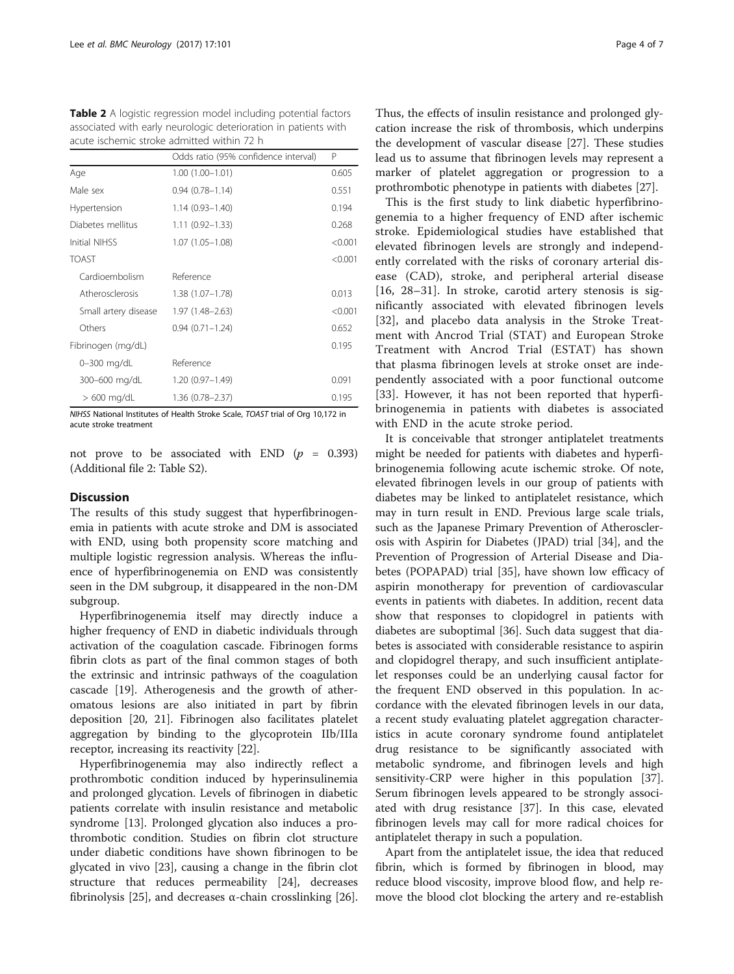<span id="page-3-0"></span>Table 2 A logistic regression model including potential factors associated with early neurologic deterioration in patients with acute ischemic stroke admitted within 72 h

|                      | Odds ratio (95% confidence interval) | P       |
|----------------------|--------------------------------------|---------|
| Age                  | $1.00(1.00-1.01)$                    | 0.605   |
| Male sex             | $0.94(0.78 - 1.14)$                  | 0.551   |
| Hypertension         | $1.14(0.93 - 1.40)$                  | 0.194   |
| Diabetes mellitus    | $1.11(0.92 - 1.33)$                  | 0.268   |
| Initial NIHSS        | $1.07(1.05 - 1.08)$                  | < 0.001 |
| <b>TOAST</b>         |                                      | < 0.001 |
| Cardioembolism       | Reference                            |         |
| Atherosclerosis      | 1.38 (1.07-1.78)                     | 0.013   |
| Small artery disease | $1.97(1.48 - 2.63)$                  | < 0.001 |
| Others               | $0.94(0.71 - 1.24)$                  | 0.652   |
| Fibrinogen (mg/dL)   |                                      | 0.195   |
| 0-300 mg/dL          | Reference                            |         |
| 300-600 mg/dL        | $1.20(0.97 - 1.49)$                  | 0.091   |
| $>600$ mg/dL         | $1.36(0.78 - 2.37)$                  | 0.195   |

NIHSS National Institutes of Health Stroke Scale, TOAST trial of Org 10,172 in acute stroke treatment

not prove to be associated with END  $(p = 0.393)$ (Additional file [2](#page-5-0): Table S2).

## **Discussion**

The results of this study suggest that hyperfibrinogenemia in patients with acute stroke and DM is associated with END, using both propensity score matching and multiple logistic regression analysis. Whereas the influence of hyperfibrinogenemia on END was consistently seen in the DM subgroup, it disappeared in the non-DM subgroup.

Hyperfibrinogenemia itself may directly induce a higher frequency of END in diabetic individuals through activation of the coagulation cascade. Fibrinogen forms fibrin clots as part of the final common stages of both the extrinsic and intrinsic pathways of the coagulation cascade [\[19](#page-6-0)]. Atherogenesis and the growth of atheromatous lesions are also initiated in part by fibrin deposition [[20, 21](#page-6-0)]. Fibrinogen also facilitates platelet aggregation by binding to the glycoprotein IIb/IIIa receptor, increasing its reactivity [\[22](#page-6-0)].

Hyperfibrinogenemia may also indirectly reflect a prothrombotic condition induced by hyperinsulinemia and prolonged glycation. Levels of fibrinogen in diabetic patients correlate with insulin resistance and metabolic syndrome [\[13\]](#page-6-0). Prolonged glycation also induces a prothrombotic condition. Studies on fibrin clot structure under diabetic conditions have shown fibrinogen to be glycated in vivo [\[23](#page-6-0)], causing a change in the fibrin clot structure that reduces permeability [\[24](#page-6-0)], decreases fibrinolysis [\[25](#page-6-0)], and decreases  $\alpha$ -chain crosslinking [\[26](#page-6-0)].

Thus, the effects of insulin resistance and prolonged glycation increase the risk of thrombosis, which underpins the development of vascular disease [\[27\]](#page-6-0). These studies lead us to assume that fibrinogen levels may represent a marker of platelet aggregation or progression to a prothrombotic phenotype in patients with diabetes [\[27\]](#page-6-0).

This is the first study to link diabetic hyperfibrinogenemia to a higher frequency of END after ischemic stroke. Epidemiological studies have established that elevated fibrinogen levels are strongly and independently correlated with the risks of coronary arterial disease (CAD), stroke, and peripheral arterial disease [[16, 28](#page-6-0)–[31\]](#page-6-0). In stroke, carotid artery stenosis is significantly associated with elevated fibrinogen levels [[32\]](#page-6-0), and placebo data analysis in the Stroke Treatment with Ancrod Trial (STAT) and European Stroke Treatment with Ancrod Trial (ESTAT) has shown that plasma fibrinogen levels at stroke onset are independently associated with a poor functional outcome [[33\]](#page-6-0). However, it has not been reported that hyperfibrinogenemia in patients with diabetes is associated with END in the acute stroke period.

It is conceivable that stronger antiplatelet treatments might be needed for patients with diabetes and hyperfibrinogenemia following acute ischemic stroke. Of note, elevated fibrinogen levels in our group of patients with diabetes may be linked to antiplatelet resistance, which may in turn result in END. Previous large scale trials, such as the Japanese Primary Prevention of Atherosclerosis with Aspirin for Diabetes (JPAD) trial [\[34](#page-6-0)], and the Prevention of Progression of Arterial Disease and Diabetes (POPAPAD) trial [[35\]](#page-6-0), have shown low efficacy of aspirin monotherapy for prevention of cardiovascular events in patients with diabetes. In addition, recent data show that responses to clopidogrel in patients with diabetes are suboptimal [\[36](#page-6-0)]. Such data suggest that diabetes is associated with considerable resistance to aspirin and clopidogrel therapy, and such insufficient antiplatelet responses could be an underlying causal factor for the frequent END observed in this population. In accordance with the elevated fibrinogen levels in our data, a recent study evaluating platelet aggregation characteristics in acute coronary syndrome found antiplatelet drug resistance to be significantly associated with metabolic syndrome, and fibrinogen levels and high sensitivity-CRP were higher in this population [\[37](#page-6-0)]. Serum fibrinogen levels appeared to be strongly associated with drug resistance [[37\]](#page-6-0). In this case, elevated fibrinogen levels may call for more radical choices for antiplatelet therapy in such a population.

Apart from the antiplatelet issue, the idea that reduced fibrin, which is formed by fibrinogen in blood, may reduce blood viscosity, improve blood flow, and help remove the blood clot blocking the artery and re-establish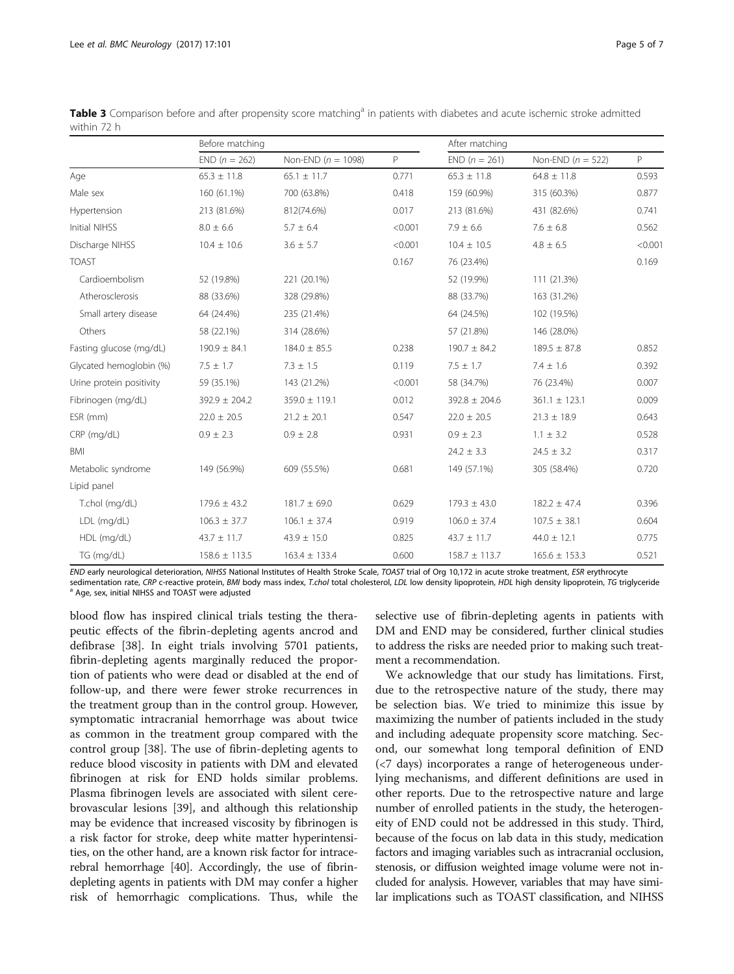|                          | Before matching   |                        | After matching |                   |                     |         |
|--------------------------|-------------------|------------------------|----------------|-------------------|---------------------|---------|
|                          | $END (n = 262)$   | Non-END ( $n = 1098$ ) | P              | $END (n = 261)$   | Non-END $(n = 522)$ | P       |
| Age                      | $65.3 \pm 11.8$   | $65.1 \pm 11.7$        | 0.771          | $65.3 \pm 11.8$   | $64.8 \pm 11.8$     | 0.593   |
| Male sex                 | 160 (61.1%)       | 700 (63.8%)            | 0.418          | 159 (60.9%)       | 315 (60.3%)         | 0.877   |
| Hypertension             | 213 (81.6%)       | 812(74.6%)             | 0.017          | 213 (81.6%)       | 431 (82.6%)         | 0.741   |
| Initial NIHSS            | $8.0 \pm 6.6$     | $5.7 \pm 6.4$          | < 0.001        | $7.9 \pm 6.6$     | $7.6 \pm 6.8$       | 0.562   |
| Discharge NIHSS          | $10.4 \pm 10.6$   | $3.6 \pm 5.7$          | < 0.001        | $10.4 \pm 10.5$   | $4.8 \pm 6.5$       | < 0.001 |
| <b>TOAST</b>             |                   |                        | 0.167          | 76 (23.4%)        |                     | 0.169   |
| Cardioembolism           | 52 (19.8%)        | 221 (20.1%)            |                | 52 (19.9%)        | 111 (21.3%)         |         |
| Atherosclerosis          | 88 (33.6%)        | 328 (29.8%)            |                | 88 (33.7%)        | 163 (31.2%)         |         |
| Small artery disease     | 64 (24.4%)        | 235 (21.4%)            |                | 64 (24.5%)        | 102 (19.5%)         |         |
| Others                   | 58 (22.1%)        | 314 (28.6%)            |                | 57 (21.8%)        | 146 (28.0%)         |         |
| Fasting glucose (mg/dL)  | $190.9 \pm 84.1$  | $184.0 \pm 85.5$       | 0.238          | $190.7 \pm 84.2$  | $189.5 \pm 87.8$    | 0.852   |
| Glycated hemoglobin (%)  | $7.5 \pm 1.7$     | $7.3 \pm 1.5$          | 0.119          | $7.5 \pm 1.7$     | $7.4 \pm 1.6$       | 0.392   |
| Urine protein positivity | 59 (35.1%)        | 143 (21.2%)            | < 0.001        | 58 (34.7%)        | 76 (23.4%)          | 0.007   |
| Fibrinogen (mg/dL)       | $392.9 \pm 204.2$ | $359.0 \pm 119.1$      | 0.012          | $392.8 \pm 204.6$ | $361.1 \pm 123.1$   | 0.009   |
| ESR (mm)                 | $22.0 \pm 20.5$   | $21.2 \pm 20.1$        | 0.547          | $22.0 \pm 20.5$   | $21.3 \pm 18.9$     | 0.643   |
| CRP (mg/dL)              | $0.9 \pm 2.3$     | $0.9 \pm 2.8$          | 0.931          | $0.9 \pm 2.3$     | $1.1 \pm 3.2$       | 0.528   |
| BMI                      |                   |                        |                | $24.2 \pm 3.3$    | $24.5 \pm 3.2$      | 0.317   |
| Metabolic syndrome       | 149 (56.9%)       | 609 (55.5%)            | 0.681          | 149 (57.1%)       | 305 (58.4%)         | 0.720   |
| Lipid panel              |                   |                        |                |                   |                     |         |
| T.chol (mg/dL)           | $179.6 \pm 43.2$  | $181.7 \pm 69.0$       | 0.629          | $179.3 \pm 43.0$  | $182.2 \pm 47.4$    | 0.396   |
| LDL (mg/dL)              | $106.3 \pm 37.7$  | $106.1 \pm 37.4$       | 0.919          | $106.0 \pm 37.4$  | $107.5 \pm 38.1$    | 0.604   |
| HDL (mg/dL)              | $43.7 \pm 11.7$   | $43.9 \pm 15.0$        | 0.825          | $43.7 \pm 11.7$   | $44.0 \pm 12.1$     | 0.775   |
| TG (mg/dL)               | $158.6 \pm 113.5$ | $163.4 \pm 133.4$      | 0.600          | $158.7 \pm 113.7$ | $165.6 \pm 153.3$   | 0.521   |

<span id="page-4-0"></span>Table 3 Comparison before and after propensity score matching<sup>a</sup> in patients with diabetes and acute ischemic stroke admitted within 72 h

END early neurological deterioration, NIHSS National Institutes of Health Stroke Scale, TOAST trial of Org 10,172 in acute stroke treatment, ESR erythrocyte sedimentation rate, CRP c-reactive protein, BMI body mass index, T.chol total cholesterol, LDL low density lipoprotein, HDL high density lipoprotein, TG triglyceride a Age, sex, initial NIHSS and TOAST were adjusted

blood flow has inspired clinical trials testing the therapeutic effects of the fibrin-depleting agents ancrod and defibrase [[38\]](#page-6-0). In eight trials involving 5701 patients, fibrin-depleting agents marginally reduced the proportion of patients who were dead or disabled at the end of follow-up, and there were fewer stroke recurrences in the treatment group than in the control group. However, symptomatic intracranial hemorrhage was about twice as common in the treatment group compared with the control group [\[38\]](#page-6-0). The use of fibrin-depleting agents to reduce blood viscosity in patients with DM and elevated fibrinogen at risk for END holds similar problems. Plasma fibrinogen levels are associated with silent cerebrovascular lesions [\[39](#page-6-0)], and although this relationship may be evidence that increased viscosity by fibrinogen is a risk factor for stroke, deep white matter hyperintensities, on the other hand, are a known risk factor for intracerebral hemorrhage [\[40](#page-6-0)]. Accordingly, the use of fibrindepleting agents in patients with DM may confer a higher risk of hemorrhagic complications. Thus, while the

selective use of fibrin-depleting agents in patients with DM and END may be considered, further clinical studies to address the risks are needed prior to making such treatment a recommendation.

We acknowledge that our study has limitations. First, due to the retrospective nature of the study, there may be selection bias. We tried to minimize this issue by maximizing the number of patients included in the study and including adequate propensity score matching. Second, our somewhat long temporal definition of END (<7 days) incorporates a range of heterogeneous underlying mechanisms, and different definitions are used in other reports. Due to the retrospective nature and large number of enrolled patients in the study, the heterogeneity of END could not be addressed in this study. Third, because of the focus on lab data in this study, medication factors and imaging variables such as intracranial occlusion, stenosis, or diffusion weighted image volume were not included for analysis. However, variables that may have similar implications such as TOAST classification, and NIHSS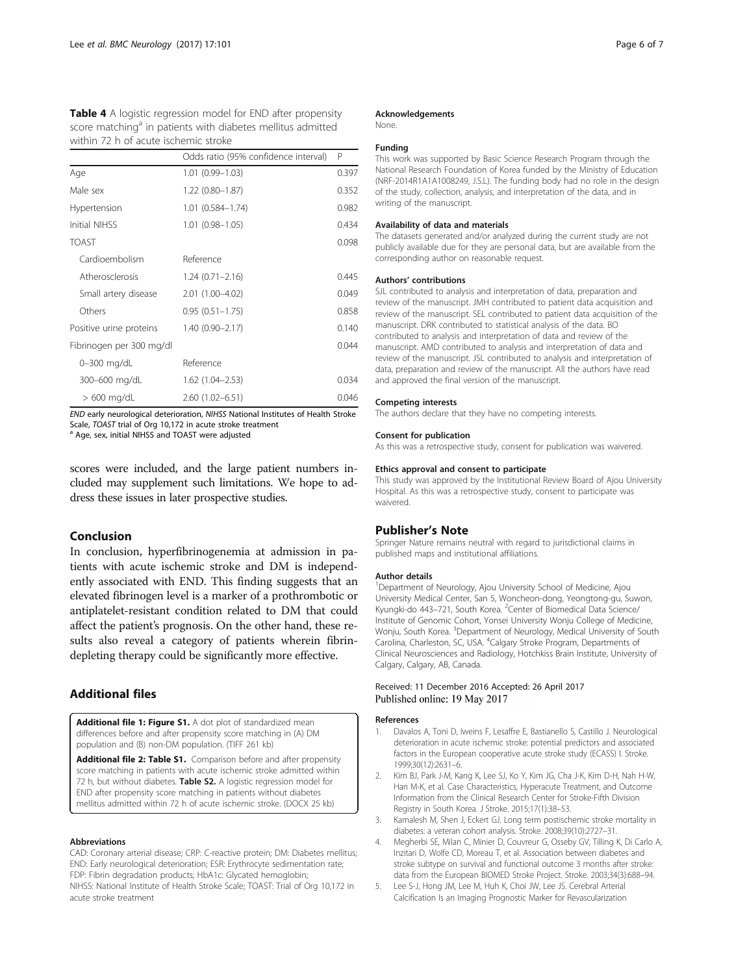<span id="page-5-0"></span>

| <b>Table 4</b> A logistic regression model for END after propensity     |
|-------------------------------------------------------------------------|
| score matching <sup>a</sup> in patients with diabetes mellitus admitted |
| within 72 h of acute ischemic stroke                                    |

|                          | Odds ratio (95% confidence interval) | P     |
|--------------------------|--------------------------------------|-------|
| Age                      | $1.01(0.99 - 1.03)$                  | 0.397 |
| Male sex                 | $1.22(0.80 - 1.87)$                  | 0.352 |
| Hypertension             | 1.01 (0.584-1.74)                    | 0.982 |
| Initial NIHSS            | $1.01(0.98 - 1.05)$                  | 0.434 |
| <b>TOAST</b>             |                                      | 0.098 |
| Cardioembolism           | Reference                            |       |
| Atherosclerosis          | $1.24(0.71 - 2.16)$                  | 0.445 |
| Small artery disease     | 2.01 (1.00-4.02)                     | 0.049 |
| Others                   | $0.95(0.51 - 1.75)$                  | 0.858 |
| Positive urine proteins  | $1.40(0.90 - 2.17)$                  | 0.140 |
| Fibrinogen per 300 mg/dl |                                      | 0.044 |
| 0-300 mg/dL              | Reference                            |       |
| 300-600 mg/dL            | $1.62(1.04 - 2.53)$                  | 0.034 |
| $>600$ mg/dL             | $2.60(1.02 - 6.51)$                  | 0.046 |

END early neurological deterioration, NIHSS National Institutes of Health Stroke<br>Scale, TOAST trial of Org 10,172 in acute stroke treatment

<sup>a</sup> Age, sex, initial NIHSS and TOAST were adjusted

scores were included, and the large patient numbers included may supplement such limitations. We hope to address these issues in later prospective studies.

## Conclusion

In conclusion, hyperfibrinogenemia at admission in patients with acute ischemic stroke and DM is independently associated with END. This finding suggests that an elevated fibrinogen level is a marker of a prothrombotic or antiplatelet-resistant condition related to DM that could affect the patient's prognosis. On the other hand, these results also reveal a category of patients wherein fibrindepleting therapy could be significantly more effective.

## Additional files

[Additional file 1: Figure S1.](dx.doi.org/10.1186/s12883-017-0865-7) A dot plot of standardized mean differences before and after propensity score matching in (A) DM population and (B) non-DM population. (TIFF 261 kb)

[Additional file 2: Table S1.](dx.doi.org/10.1186/s12883-017-0865-7) Comparison before and after propensity score matching in patients with acute ischemic stroke admitted within 72 h, but without diabetes. Table S2. A logistic regression model for END after propensity score matching in patients without diabetes mellitus admitted within 72 h of acute ischemic stroke. (DOCX 25 kb)

#### Abbreviations

CAD: Coronary arterial disease; CRP: C-reactive protein; DM: Diabetes mellitus; END: Early neurological deterioration; ESR: Erythrocyte sedimentation rate; FDP: Fibrin degradation products; HbA1c: Glycated hemoglobin; NIHSS: National Institute of Health Stroke Scale; TOAST: Trial of Org 10,172 in acute stroke treatment

#### Acknowledgements

None.

#### Funding

This work was supported by Basic Science Research Program through the National Research Foundation of Korea funded by the Ministry of Education (NRF-2014R1A1A1008249, J.S.L). The funding body had no role in the design of the study, collection, analysis, and interpretation of the data, and in writing of the manuscript.

#### Availability of data and materials

The datasets generated and/or analyzed during the current study are not publicly available due for they are personal data, but are available from the corresponding author on reasonable request.

#### Authors' contributions

SJL contributed to analysis and interpretation of data, preparation and review of the manuscript. JMH contributed to patient data acquisition and review of the manuscript. SEL contributed to patient data acquisition of the manuscript. DRK contributed to statistical analysis of the data. BO contributed to analysis and interpretation of data and review of the manuscript. AMD contributed to analysis and interpretation of data and review of the manuscript. JSL contributed to analysis and interpretation of data, preparation and review of the manuscript. All the authors have read and approved the final version of the manuscript.

#### Competing interests

The authors declare that they have no competing interests.

#### Consent for publication

As this was a retrospective study, consent for publication was waivered.

#### Ethics approval and consent to participate

This study was approved by the Institutional Review Board of Ajou University Hospital. As this was a retrospective study, consent to participate was waivered.

## Publisher's Note

Springer Nature remains neutral with regard to jurisdictional claims in published maps and institutional affiliations.

#### Author details

<sup>1</sup>Department of Neurology, Ajou University School of Medicine, Ajou University Medical Center, San 5, Woncheon-dong, Yeongtong-gu, Suwon, Kyungki-do 443-721, South Korea. <sup>2</sup> Center of Biomedical Data Science/ Institute of Genomic Cohort, Yonsei University Wonju College of Medicine, Wonju, South Korea. <sup>3</sup>Department of Neurology, Medical University of South Carolina, Charleston, SC, USA. <sup>4</sup> Calgary Stroke Program, Departments of Clinical Neurosciences and Radiology, Hotchkiss Brain Institute, University of Calgary, Calgary, AB, Canada.

#### Received: 11 December 2016 Accepted: 26 April 2017 Published online: 19 May 2017

#### References

- 1. Davalos A, Toni D, Iweins F, Lesaffre E, Bastianello S, Castillo J. Neurological deterioration in acute ischemic stroke: potential predictors and associated factors in the European cooperative acute stroke study (ECASS) I. Stroke. 1999;30(12):2631–6.
- 2. Kim BJ, Park J-M, Kang K, Lee SJ, Ko Y, Kim JG, Cha J-K, Kim D-H, Nah H-W, Han M-K, et al. Case Characteristics, Hyperacute Treatment, and Outcome Information from the Clinical Research Center for Stroke-Fifth Division Registry in South Korea. J Stroke. 2015;17(1):38–53.
- 3. Kamalesh M, Shen J, Eckert GJ. Long term postischemic stroke mortality in diabetes: a veteran cohort analysis. Stroke. 2008;39(10):2727–31.
- 4. Megherbi SE, Milan C, Minier D, Couvreur G, Osseby GV, Tilling K, Di Carlo A, Inzitari D, Wolfe CD, Moreau T, et al. Association between diabetes and stroke subtype on survival and functional outcome 3 months after stroke: data from the European BIOMED Stroke Project. Stroke. 2003;34(3):688–94.
- 5. Lee S-J, Hong JM, Lee M, Huh K, Choi JW, Lee JS. Cerebral Arterial Calcification Is an Imaging Prognostic Marker for Revascularization